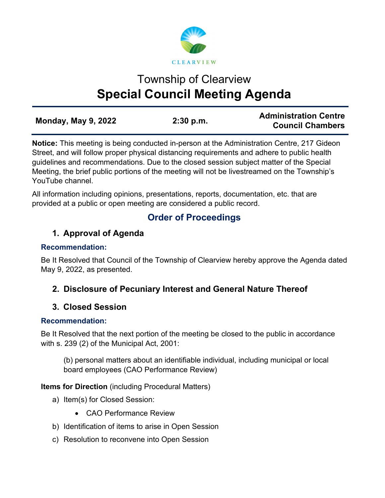

# Township of Clearview **Special Council Meeting Agenda**

| <b>Monday, May 9, 2022</b> |           | <b>Administration Centre</b> |
|----------------------------|-----------|------------------------------|
|                            | 2:30 p.m. | <b>Council Chambers</b>      |

**Notice:** This meeting is being conducted in-person at the Administration Centre, 217 Gideon Street, and will follow proper physical distancing requirements and adhere to public health guidelines and recommendations. Due to the closed session subject matter of the Special Meeting, the brief public portions of the meeting will not be livestreamed on the Township's YouTube channel.

All information including opinions, presentations, reports, documentation, etc. that are provided at a public or open meeting are considered a public record.

# **Order of Proceedings**

## **1. Approval of Agenda**

#### **Recommendation:**

Be It Resolved that Council of the Township of Clearview hereby approve the Agenda dated May 9, 2022, as presented.

## **2. Disclosure of Pecuniary Interest and General Nature Thereof**

## **3. Closed Session**

### **Recommendation:**

Be It Resolved that the next portion of the meeting be closed to the public in accordance with s. 239 (2) of the Municipal Act, 2001:

(b) personal matters about an identifiable individual, including municipal or local board employees (CAO Performance Review)

**Items for Direction** (including Procedural Matters)

- a) Item(s) for Closed Session:
	- CAO Performance Review
- b) Identification of items to arise in Open Session
- c) Resolution to reconvene into Open Session